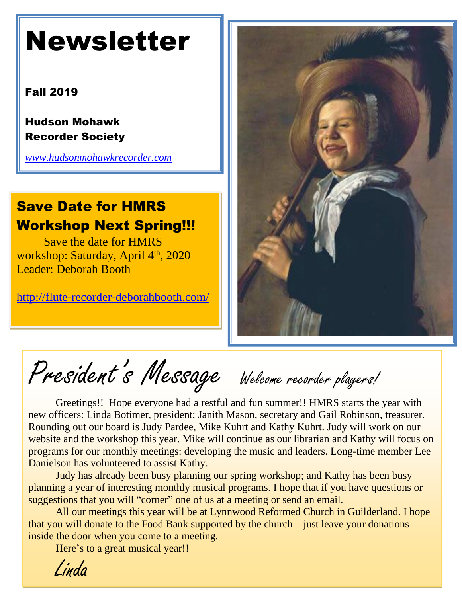# Newsletter

### Fall 2019

Hudson Mohawk Recorder Society

*[www.hudsonmohawkrecorder.com](http://www.hudsonmohawkrecorder.com/)*

## Save Date for HMRS Workshop Next Spring!!!

Save the date for HMRS workshop: Saturday, April 4<sup>th</sup>, 2020 Leader: Deborah Booth

<http://flute-recorder-deborahbooth.com/>



President's Message Welcome recorder players!

Greetings!! Hope everyone had a restful and fun summer!! HMRS starts the year with new officers: Linda Botimer, president; Janith Mason, secretary and Gail Robinson, treasurer. Rounding out our board is Judy Pardee, Mike Kuhrt and Kathy Kuhrt. Judy will work on our website and the workshop this year. Mike will continue as our librarian and Kathy will focus on programs for our monthly meetings: developing the music and leaders. Long-time member Lee Danielson has volunteered to assist Kathy.

Judy has already been busy planning our spring workshop; and Kathy has been busy planning a year of interesting monthly musical programs. I hope that if you have questions or suggestions that you will "corner" one of us at a meeting or send an email.

All our meetings this year will be at Lynnwood Reformed Church in Guilderland. I hope that you will donate to the Food Bank supported by the church—just leave your donations inside the door when you come to a meeting.

Here's to a great musical year!!

Linda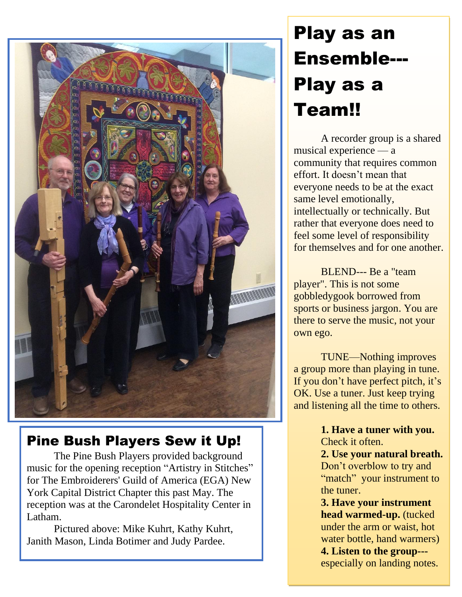

## Pine Bush Players Sew it Up!

The Pine Bush Players provided background music for the opening reception "Artistry in Stitches" for The Embroiderers' Guild of America (EGA) New York Capital District Chapter this past May. The reception was at the Carondelet Hospitality Center in Latham.

Pictured above: Mike Kuhrt, Kathy Kuhrt, Janith Mason, Linda Botimer and Judy Pardee.

## Play as an Ensemble--- Play as a Team!!

A recorder group is a shared musical experience — a community that requires common effort. It doesn't mean that everyone needs to be at the exact same level emotionally, intellectually or technically. But rather that everyone does need to feel some level of responsibility for themselves and for one another.

BLEND--- Be a "team player". This is not some gobbledygook borrowed from sports or business jargon. You are there to serve the music, not your own ego.

TUNE—Nothing improves a group more than playing in tune. If you don't have perfect pitch, it's OK. Use a tuner. Just keep trying and listening all the time to others.

> **1. Have a tuner with you.** Check it often.

**2. Use your natural breath.** Don't overblow to try and "match" your instrument to the tuner.

**3. Have your instrument head warmed-up.** (tucked under the arm or waist, hot water bottle, hand warmers) **4. Listen to the group--** especially on landing notes.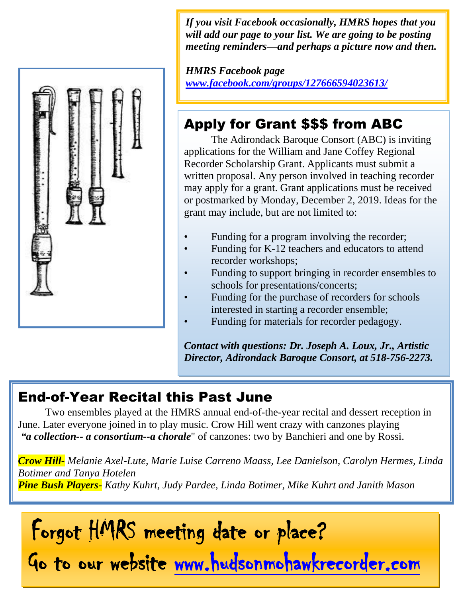

*If you visit Facebook occasionally, HMRS hopes that you will add our page to your list. We are going to be posting meeting reminders—and perhaps a picture now and then.* 

*HMRS Facebook page [www.facebook.com/groups/127666594023613/](http://www.facebook.com/groups/127666594023613/)*

## Apply for Grant \$\$\$ from ABC

The Adirondack Baroque Consort (ABC) is inviting applications for the William and Jane Coffey Regional Recorder Scholarship Grant. Applicants must submit a written proposal. Any person involved in teaching recorder may apply for a grant. Grant applications must be received or postmarked by Monday, December 2, 2019. Ideas for the grant may include, but are not limited to:

- Funding for a program involving the recorder;
- Funding for K-12 teachers and educators to attend recorder workshops;
- Funding to support bringing in recorder ensembles to schools for presentations/concerts;
- Funding for the purchase of recorders for schools interested in starting a recorder ensemble;
- Funding for materials for recorder pedagogy.

*Contact with questions: Dr. Joseph A. Loux, Jr., Artistic Director, Adirondack Baroque Consort, at 518-756-2273.* 

### End-of-Year Recital this Past June

Two ensembles played at the HMRS annual end-of-the-year recital and dessert reception in June. Later everyone joined in to play music. Crow Hill went crazy with canzones playing *"a collection-- a consortium--a chorale*" of canzones: two by Banchieri and one by Rossi.

*Crow Hill- Melanie Axel-Lute, Marie Luise Carreno Maass, Lee Danielson, Carolyn Hermes, Linda Botimer and Tanya Hotelen Pine Bush Players- Kathy Kuhrt, Judy Pardee, Linda Botimer, Mike Kuhrt and Janith Mason* 

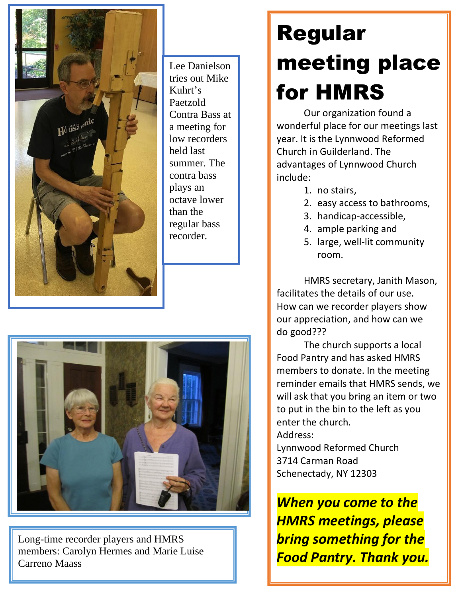

Lee Danielson tries out Mike Kuhrt's Paetzold Contra Bass at a meeting for low recorders held last summer. The contra bass plays an octave lower than the regular bass recorder.



members: Carolyn Hermes and Marie Luise Long-time recorder players and HMRS Carreno Maass

# Regular meeting place for HMRS

Our organization found a wonderful place for our meetings last year. It is the Lynnwood Reformed Church in Guilderland. The advantages of Lynnwood Church include:

- 1. no stairs,
- 2. easy access to bathrooms,
- 3. handicap-accessible,
- 4. ample parking and
- 5. large, well-lit community room.

HMRS secretary, Janith Mason, facilitates the details of our use. How can we recorder players show our appreciation, and how can we do good???

The church supports a local Food Pantry and has asked HMRS members to donate. In the meeting reminder emails that HMRS sends, we will ask that you bring an item or two to put in the bin to the left as you enter the church.

Address:

Lynnwood Reformed Church 3714 Carman Road Schenectady, NY 12303

*When you come to the HMRS meetings, please bring something for the Food Pantry. Thank you.*